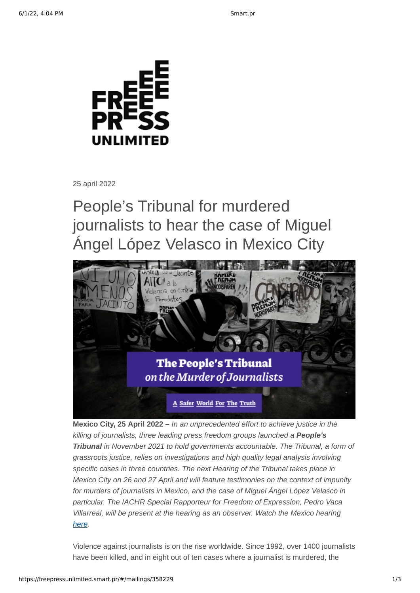

25 april 2022

People's Tribunal for murdered journalists to hear the case of Miguel Ángel López Velasco in Mexico City



**Mexico City, 25 April 2022 –** *In an unprecedented effort to achieve justice in the killing of journalists, three leading press freedom groups launched a People's Tribunal in November 2021 to hold governments accountable. The Tribunal, a form of grassroots justice, relies on investigations and high quality legal analysis involving specific cases in three countries. The next Hearing of the Tribunal takes place in Mexico City on 26 and 27 April and will feature testimonies on the context of impunity for murders of journalists in Mexico, and the case of Miguel Ángel López Velasco in particular. The IACHR Special Rapporteur for Freedom of Expression, Pedro Vaca Villarreal, will be present at the hearing as an observer. Watch the Mexico hearing [here](https://ptmurderofjournalists.org/mexico/).*

Violence against journalists is on the rise worldwide. Since 1992, over 1400 journalists have been killed, and in eight out of ten cases where a journalist is murdered, the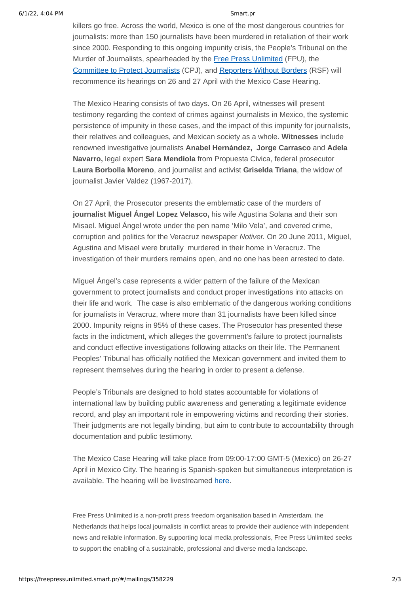killers go free. Across the world, Mexico is one of the most dangerous countries for journalists: more than 150 journalists have been murdered in retaliation of their work since 2000. Responding to this ongoing impunity crisis, the People's Tribunal on the Murder of Journalists, spearheaded by the [Free Press Unlimited](https://www.freepressunlimited.org/en) (FPU), the [Committee to Protect Journalists](https://cpj.org/) (CPJ), and [Reporters Without Borders](https://rsf.org/en) (RSF) will recommence its hearings on 26 and 27 April with the Mexico Case Hearing.

The Mexico Hearing consists of two days. On 26 April, witnesses will present testimony regarding the context of crimes against journalists in Mexico, the systemic persistence of impunity in these cases, and the impact of this impunity for journalists, their relatives and colleagues, and Mexican society as a whole. **Witnesses** include renowned investigative journalists **Anabel Hernández, Jorge Carrasco** and **Adela Navarro,** legal expert **Sara Mendiola** from Propuesta Civica, federal prosecutor **Laura Borbolla Moreno**, and journalist and activist **Griselda Triana**, the widow of journalist Javier Valdez (1967-2017).

On 27 April, the Prosecutor presents the emblematic case of the murders of **journalist Miguel Ángel Lopez Velasco,** his wife Agustina Solana and their son Misael. Miguel Ángel wrote under the pen name 'Milo Vela', and covered crime, corruption and politics for the Veracruz newspaper *Notiver.* On 20 June 2011, Miguel, Agustina and Misael were brutally murdered in their home in Veracruz. The investigation of their murders remains open, and no one has been arrested to date.

Miguel Ángel's case represents a wider pattern of the failure of the Mexican government to protect journalists and conduct proper investigations into attacks on their life and work. The case is also emblematic of the dangerous working conditions for journalists in Veracruz, where more than 31 journalists have been killed since 2000. Impunity reigns in 95% of these cases. The Prosecutor has presented these facts in the indictment, which alleges the government's failure to protect journalists and conduct effective investigations following attacks on their life. The Permanent Peoples' Tribunal has officially notified the Mexican government and invited them to represent themselves during the hearing in order to present a defense.

People's Tribunals are designed to hold states accountable for violations of international law by building public awareness and generating a legitimate evidence record, and play an important role in empowering victims and recording their stories. Their judgments are not legally binding, but aim to contribute to accountability through documentation and public testimony.

The Mexico Case Hearing will take place from 09:00-17:00 GMT-5 (Mexico) on 26-27 April in Mexico City. The hearing is Spanish-spoken but simultaneous interpretation is available. The hearing will be livestreamed [here](https://ptmurderofjournalists.org/mexico/).

Free Press Unlimited is a non-profit press freedom organisation based in Amsterdam, the Netherlands that helps local journalists in conflict areas to provide their audience with independent news and reliable information. By supporting local media professionals, Free Press Unlimited seeks to support the enabling of a sustainable, professional and diverse media landscape.